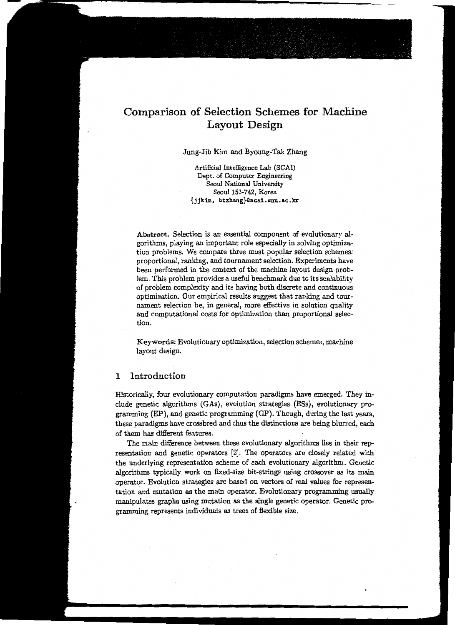# Comparison of Selection Schemes for Machine Layout Design

#### Jung-Jib Kim and Byoung-Tak Zhang

Artificial Intelligence Lab (SCAI) Dept. of Computer Engineering Seoul National University Seoul 151-742, Korea {jjkim, btzhang}41scai.snu.ac.k:r

Abstract. Selection is an essential component of evolutionary algorithms, playing an important role especially in solving optimization problems. We compare three most popular selection schemes: proportional, ranking, and tournament selection. Experiments have been performed in the context of the machine layout design problem. This problem provides a useful benchmark due to its scalability of problem complexity and its having poth discrete and continuous optimization. Our empirical results suggest that ranking and tournament selection be, in general, more effective in solution quality and computational costs for optimization than proportional selection.

Keywords: Evolutionary optimization, selection schemes, machine layout design.

#### 1 Introduction

Historically, four evolutionary computation paradigms have emerged. They include genetic algorithms (GAs), evolution strategies (ESs}, evolutionary programming (EP}, and genetic programming (GP). Though, during the last years, these paradigms have crossbred and thus the distinctions are being blurred, each of them has different features.

The main difference between these evolutionary algorithms lies in their representation and genetic operators [2]. The operators are closely related with the underlying representation scheme of each evolutionary algorithm. Genetic algorithms typically work on fixed-size bit-strings using crossover as its main operator. Evolution strategies are based on vectors of real values for representation and mutation as the main operator. Evolutionary programming usually manipulates graphs using mutation as the single genetic operator. Genetic programming represents individuals as trees of flexible size.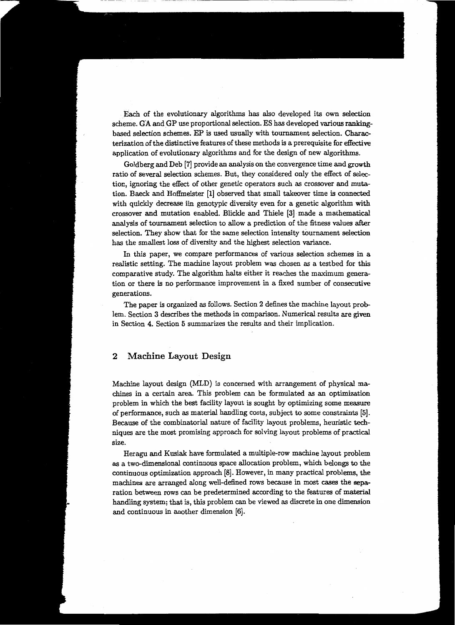Each of the evolutionary algorithms has also developed its own selection scheme. GA. and GP use proportional selection. ES has developed various rankingbased selection schemes. EP is used usually with tournament selection. Characterization of the distinctive features of these methods is a prerequisite for effective application of evolutionary algorithms and for the design of new algorithms.

Goldberg and Deb [7] provide an analysis on the convergence time and growth ratio of several selection schemes. But, they considered only the effect of selection, ignoring the effect of other genetic operators such as crossover and mutation. Baeck and Hoffmeister [1] observed that small takeover time is connected with quickly decrease iin genotypic diversity even for a genetic algorithm with crossover and mutation enabled. Blickle and Thiele [3] made a mathematical analysis of tournament selection to allow a prediction of the fitness values after selection. They show that for the same selection intensity tournament selection has the smallest loss of diversity and the highest selection variance.

In this paper, we compare performances of various selection schemes in a realistic setting. The machine layout problem was chosen as a testbed for this comparative study. The algorithm halts either it reaches the maximum generation or there is no performance improvement in a fixed number of consecutive generations.

The paper is organized as follows. Section 2 defines the machine layout problem. Section 3 describes the methods in comparison. Numerical results are given in Section 4. Section 5 summarizes the results and their implication.

### 2 Machine Layout Design

Machine layout design (MLD) is concerned with arrangement of physical machines in a certain area. This problem can be formulated as an optimization problem in which the best facility layout is sought by optimizing some measure of performance, such as material handling costs, subject to some constraints [5]. Because of the combinatorial nature of facility layout problems, heuristic techniques are the most promising approach for solving layout problems of practical size.

Heragu and Kusiak have formulated a multiple-row machine layout problem as a two-dimensional continuous space allocation problem, which belongs to the continuous optimization approach [8]. However, in many practical problems, the machines are arranged along well-defined rows because in most cases the separation between rows can be predetermined according to the features of material handling system; that is, this problem can be viewed as discrete in one dimension and continuous in another dimension (6].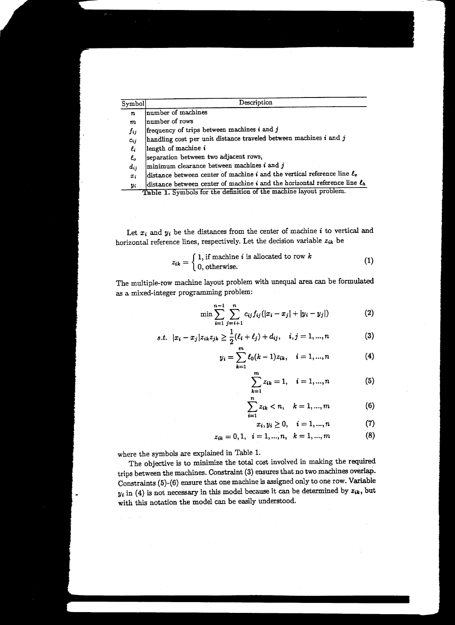| Symbol           | Description                                                                     |  |  |  |
|------------------|---------------------------------------------------------------------------------|--|--|--|
| $\boldsymbol{n}$ | number of machines                                                              |  |  |  |
| $\boldsymbol{m}$ | number of rows                                                                  |  |  |  |
| fij              | frequency of trips between machines i and j                                     |  |  |  |
| $c_{ij}$         | handling cost per unit distance traveled between machines $i$ and $j$           |  |  |  |
| $\ell_i$         | length of machine i                                                             |  |  |  |
| $\ell_o$         | separation between two adjacent rows,                                           |  |  |  |
| $d_{ij}$         | $ $ minimum clearance between machines $i$ and $j$                              |  |  |  |
| $x_i$            | distance between center of machine $i$ and the vertical reference line $\ell_v$ |  |  |  |
| Y.               | distance between center of machine i and the horizontal reference line $\ell_h$ |  |  |  |
|                  | Table 1. Symbols for the definition of the machine layout problem.              |  |  |  |

Let  $x_i$  and  $y_i$  be the distances from the center of machine  $i$  to vertical and horizontal reference lines, respectively. Let the decision variable  $z_{ik}$  be

$$
z_{ik} = \begin{cases} 1, \text{ if machine } i \text{ is allocated to row } k \\ 0, \text{ otherwise.} \end{cases} \tag{1}
$$

The multiple-row machine layout problem with unequal area can be formulated as a mixed-integer programming problem:

$$
\min \sum_{i=1}^{n-1} \sum_{j=i+1}^{n} c_{ij} f_{ij} (|x_i - x_j| + |y_i - y_j|)
$$
 (2)

s.t. 
$$
|x_i - x_j| z_{ik} z_{jk} \ge \frac{1}{2} (\ell_i + \ell_j) + d_{ij}, \quad i, j = 1, ..., n
$$
 (3)

$$
y_i = \sum_{k=1}^{m} \ell_0(k-1) z_{ik}, \quad i = 1, ..., n \tag{4}
$$

$$
\sum_{k=1}^{m} z_{ik} = 1, \quad i = 1, ..., n \tag{5}
$$

$$
\sum_{i=1}^{n} z_{ik} < n, \quad k = 1, \dots, m \tag{6}
$$

$$
x_i, y_i \ge 0, \quad i = 1, ..., n \tag{7}
$$

$$
z_{ik} = 0, 1, i = 1, ..., n, k = 1, ..., m
$$
 (8)

where the symbols are explained in Table 1.

The objective is to minimize the total cost involved in making the required trips between the machines. Constraint (3) ensures that no two machines overlaP. Constraints (5)-(6) ensure that one machine is assigned only to one row. Variable  $y_i$  in (4) is not necessary in this model because it can be determined by  $z_{ik}$ , but with this notation the model can be easily understood.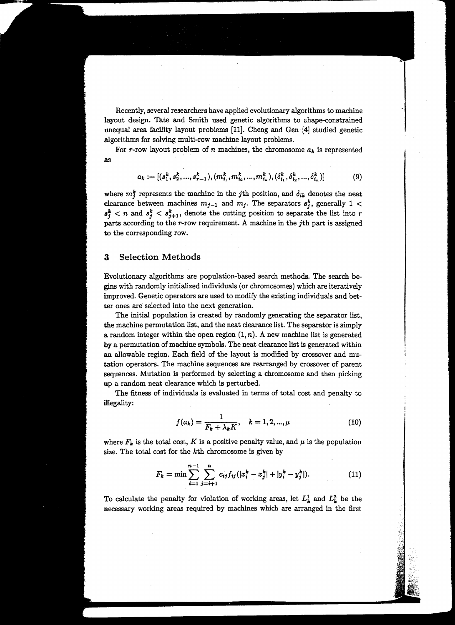Recently, several researchers have applied evolutionary algorithms to machine layout design. Tate and Smith used genetic algorithms to shape-constrained unequal area facility layout problems [11]. Cheng and Gen [4] studied genetic algorithms for solving multi-row machine layout problems.

For r-row layout problem of n machines, the chromosome  $a_k$  is represented as

$$
a_k := [(s_1^k, s_2^k, ..., s_{r-1}^k), (m_{i_1}^k, m_{i_2}^k, ..., m_{i_n}^k), (\delta_{i_1}^k, \delta_{i_2}^k, ..., \delta_{i_n}^k)]
$$
(9)

where  $m_j^k$  represents the machine in the *j*th position, and  $\delta_{ik}$  denotes the neat clearance between machines  $m_{j-1}$  and  $m_j$ . The separators  $s_j^k$ , generally 1 <  $s_j^k$  < *n* and  $s_j^k$  <  $s_{j+1}^k$ , denote the cutting position to separate the list into *r* parts according to the r-row requirement. A machine in the jth part is assigned to the corresponding row.

#### 3 Selection Methods

Evolutionary algorithms are population-based search methods. The search begins with randomly initialized individuals (or chromosomes) which are iteratively improved. Genetic operators are used to modify the existing individuals and better ones are selected into the next generation.

The initial population is created by randomly generating the separator list, the machine permutation list, and the neat clearance list. The separator is simply a random integer within the open region  $(1, n)$ . A new machine list is generated by a permutation of machine symbols. The neat clearance list is generated within an allowable region. Each field of the layout is modified by crossover and mutation operators. The machine sequences are rearranged by crossover of parent sequences. Mutation is performed by selecting a chromosome and then picking up a random neat clearance which is perturbed.

The fitness of individuals is evaluated in terms of total cost and penalty to illegality:

$$
f(a_k) = \frac{1}{F_k + \lambda_k K}, \quad k = 1, 2, ..., \mu
$$
 (10)

where  $F_k$  is the total cost, K is a positive penalty value, and  $\mu$  is the population size. The total cost for the kth chromosome is given by

$$
F_k = \min \sum_{i=1}^{n-1} \sum_{j=i+1}^n c_{ij} f_{ij} (|x_i^k - x_j^k| + |y_i^k - y_j^k|).
$$
 (11)

To calculate the penalty for violation of working areas, let  $L_k^1$  and  $L_k^2$  be the necessary working areas required by machines which are arranged in the first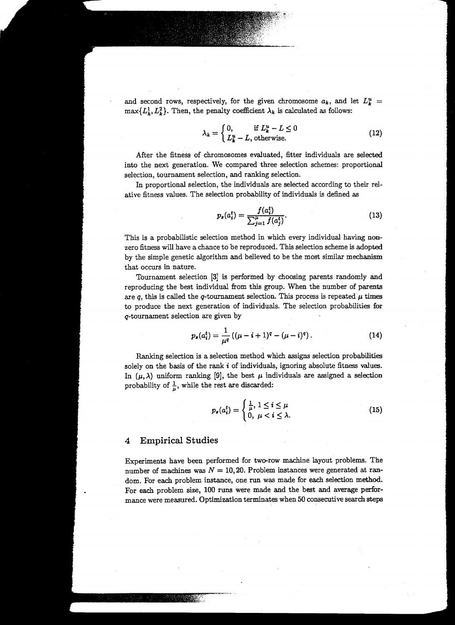and second rows, respectively, for the given chromosome  $a_k$ , and let  $L_k^u$  =  $\max\{L_k^1, L_k^2\}$ . Then, the penalty coefficient  $\lambda_k$  is calculated as follows:

$$
\lambda_k = \begin{cases} 0, & \text{if } L_k^u - L \le 0 \\ L_k^u - L, \text{otherwise.} \end{cases} \tag{12}
$$

After the fitness of chromosomes evaluated, fitter individuals are selected into the next generation. We compared three selection schemes: proportional selection, tournament selection, and ranking selection.

In proportional selection, the individuals are selected according to their relative fitness values. The selection probability of individuals is defined as

$$
p_s(a_i^t) = \frac{f(a_i^t)}{\sum_{j=1}^{\mu} f(a_j^t)}.
$$
\n(13)

This is a probabilistic selection method in which every individual having nonzero fitness will have a chance to be reproduced. This selection scheme is adopted by the simple genetic algorithm and believed to be the most similar mechanism that occurs in nature.

Tournament selection [3] is performed by choosing parents randomly and reproducing the best individual from this group. When the number of parents are q, this is called the q-tournament selection. This process is repeated  $\mu$  times to produce the next generation of individuals. The selection probabilities for q-tournament selection are given by

$$
p_s(a_i^t) = \frac{1}{\mu^q} \left( (\mu - i + 1)^q - (\mu - i)^q \right). \tag{14}
$$

Ranking selection is a selection method which assigns selection probabilities solely on the basis of the rank *i* of individuals, ignoring absolute fitness values. In  $(\mu, \lambda)$  uniform ranking [9], the best  $\mu$  individuals are assigned a selection probability of  $\frac{1}{\mu}$ , while the rest are discarded:

$$
p_s(a_i^t) = \begin{cases} \frac{1}{\mu}, 1 \leq i \leq \mu \\ 0, \ \mu < i \leq \lambda. \end{cases}
$$
 (15)

#### 4 Empirical Studies

Experiments have been performed for two-row machine layout problems. The number of machines was  $N = 10, 20$ . Problem instances were generated at random. For each problem instance, one run was made for each selection method. For each problem size, 100 runs were made and the best and average performance were measured. Optimization terminates when 50 consecutive search steps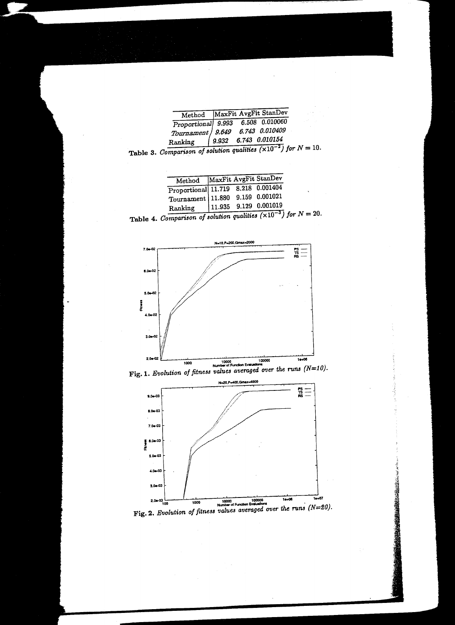|         | Method MaxFit AvgFit StanDev                                                  |  |
|---------|-------------------------------------------------------------------------------|--|
|         | Proportional 9.993 6.508 0.010060                                             |  |
|         | Tournament   9.649 6.743 0.010409                                             |  |
| Ranking | $\begin{array}{ c c c c } \hline 9.932 & 6.743 & 0.010154 \hline \end{array}$ |  |
|         | $7.10 - 21.5$                                                                 |  |

Table 3. *Comparison of solution qualities*  $(\times 10^{-2})$  for  $N = 10$ .

| Method MaxFit AvgFit StanDev       |  |                         |
|------------------------------------|--|-------------------------|
| Proportional 11.719 8.218 0.001404 |  |                         |
| Tournament 11.880 9.159 0.001021   |  |                         |
| Ranking                            |  | $11.935$ 9.129 0.001019 |
|                                    |  |                         |

Table 4. *Comparison of solution qualities*  $(\times 10^{-3})$  for  $N = 20$ .







 $F$ ig. 2. *Evolution of fitness values averaged over the runs (N=20).*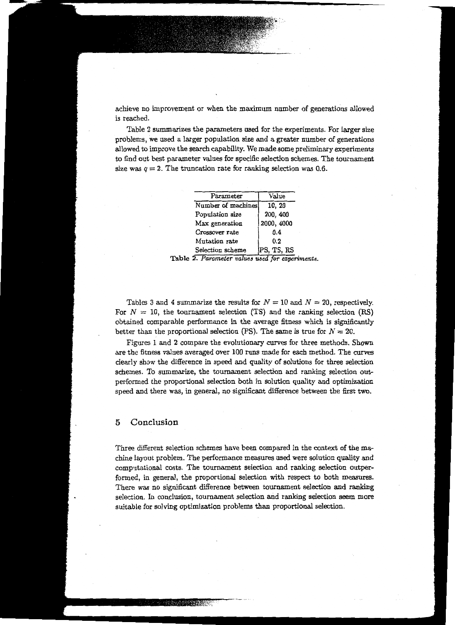achieve no improvement or when the maximum number of generations allowed is reached.

Table 2 summarizes the parameters used for the experiments. For larger size problems, We used a larger population size and a greater number of generations allowed to improve the search capability. We made some preliminary experiments to find out best parameter values for specific selection schemes. The tournament size was  $q = 2$ . The truncation rate for ranking selection was 0.6.

| Parameter          | Value      |  |
|--------------------|------------|--|
| Number of machines | 10, 20     |  |
| Population size    | 200, 400   |  |
| Max generation     | 2000, 4000 |  |
| Crossover rate     | 0.4        |  |
| Mutation rate      | 0.2        |  |
| Selection scheme   | PS, TS, RS |  |

Table 2. Parameter values used for experiments.

Tables 3 and 4 summarize the results for  $N = 10$  and  $N = 20$ , respectively. For  $N = 10$ , the tournament selection (TS) and the ranking selection (RS) obtained comparable performance in the average fitness which is significantly better than the proportional selection (PS). The same is true for  $N = 20$ .

Figures 1 and 2 compare the evolutionary curves for three methods. Shown are the fitness values averaged over 100 runs made for each method. The curves clearly show the difference in speed and quality of solutions for three selection schemes. To summarize, the tournament selection and ranking selection outperformed the proportional selection both in solution quality and optimization speed and there was, in general, no significant difference between the first two.

## 5 Conclusion

Three different selection schemes have been compared in the context of the machine layout problem. The performance measures used were solution quality and computational costs. The tournament selection and ranking selection outperformed, in general, the proportional selection with respect to both measures. There was no significant difference between tournament selection and ranking selection. In conclusion, tournament selection and ranking selection seem more suitable for solving optimization problems than proportional selection.

**ANGEL AND PROPERTY**